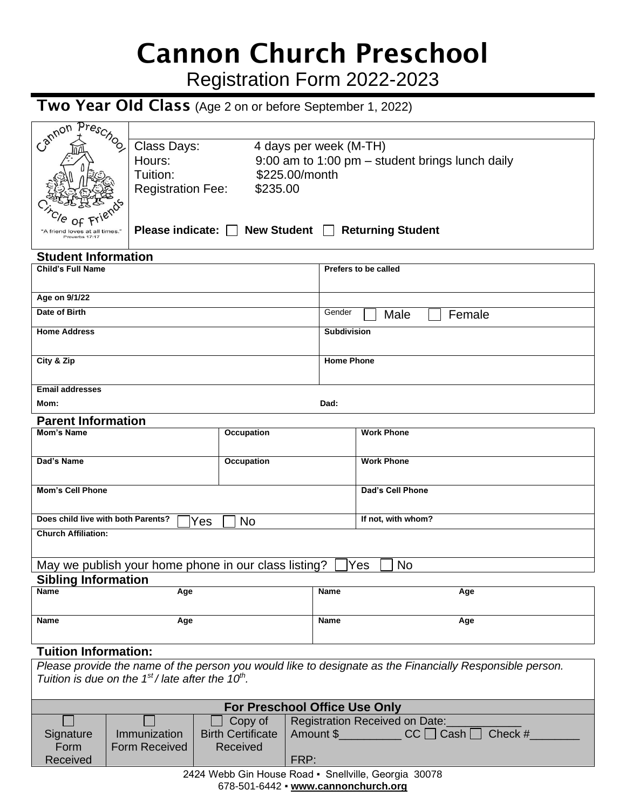# Cannon Church Preschool

Registration Form 2022-2023

## Two Year OId Class (Age 2 on or before September 1, 2022)

| Cannon Preschool                                                                                         | Class Days:                                                                            |                                                      | 4 days per week (M-TH)   |                                                   |  |  |  |  |  |
|----------------------------------------------------------------------------------------------------------|----------------------------------------------------------------------------------------|------------------------------------------------------|--------------------------|---------------------------------------------------|--|--|--|--|--|
|                                                                                                          | Hours:                                                                                 |                                                      |                          | 9:00 am to 1:00 pm $-$ student brings lunch daily |  |  |  |  |  |
|                                                                                                          | Tuition:                                                                               | \$225.00/month                                       |                          |                                                   |  |  |  |  |  |
|                                                                                                          |                                                                                        |                                                      |                          |                                                   |  |  |  |  |  |
|                                                                                                          |                                                                                        | \$235.00<br><b>Registration Fee:</b>                 |                          |                                                   |  |  |  |  |  |
|                                                                                                          |                                                                                        |                                                      |                          |                                                   |  |  |  |  |  |
| Ω£                                                                                                       |                                                                                        |                                                      |                          |                                                   |  |  |  |  |  |
| "A friend loves at all times.                                                                            |                                                                                        | Please indicate: $\Box$ New Student $\Box$           |                          | <b>Returning Student</b>                          |  |  |  |  |  |
| Proverbs 17:17                                                                                           |                                                                                        |                                                      |                          |                                                   |  |  |  |  |  |
| <b>Student Information</b>                                                                               |                                                                                        |                                                      |                          |                                                   |  |  |  |  |  |
| <b>Child's Full Name</b>                                                                                 |                                                                                        |                                                      |                          | Prefers to be called                              |  |  |  |  |  |
|                                                                                                          |                                                                                        |                                                      |                          |                                                   |  |  |  |  |  |
|                                                                                                          |                                                                                        |                                                      |                          |                                                   |  |  |  |  |  |
| Age on 9/1/22                                                                                            |                                                                                        |                                                      |                          |                                                   |  |  |  |  |  |
| Date of Birth                                                                                            |                                                                                        |                                                      | Gender<br>Female<br>Male |                                                   |  |  |  |  |  |
|                                                                                                          |                                                                                        |                                                      |                          |                                                   |  |  |  |  |  |
| <b>Home Address</b>                                                                                      |                                                                                        |                                                      | <b>Subdivision</b>       |                                                   |  |  |  |  |  |
|                                                                                                          |                                                                                        |                                                      |                          |                                                   |  |  |  |  |  |
| City & Zip                                                                                               |                                                                                        |                                                      | <b>Home Phone</b>        |                                                   |  |  |  |  |  |
|                                                                                                          |                                                                                        |                                                      |                          |                                                   |  |  |  |  |  |
| <b>Email addresses</b>                                                                                   |                                                                                        |                                                      |                          |                                                   |  |  |  |  |  |
|                                                                                                          |                                                                                        |                                                      |                          |                                                   |  |  |  |  |  |
| Mom:                                                                                                     |                                                                                        |                                                      | Dad:                     |                                                   |  |  |  |  |  |
| <b>Parent Information</b>                                                                                |                                                                                        |                                                      |                          |                                                   |  |  |  |  |  |
| <b>Mom's Name</b>                                                                                        |                                                                                        | <b>Occupation</b>                                    |                          | <b>Work Phone</b>                                 |  |  |  |  |  |
|                                                                                                          |                                                                                        |                                                      |                          |                                                   |  |  |  |  |  |
| Dad's Name                                                                                               |                                                                                        |                                                      |                          | <b>Work Phone</b>                                 |  |  |  |  |  |
|                                                                                                          |                                                                                        | Occupation                                           |                          |                                                   |  |  |  |  |  |
|                                                                                                          |                                                                                        |                                                      |                          |                                                   |  |  |  |  |  |
| <b>Mom's Cell Phone</b>                                                                                  |                                                                                        |                                                      |                          | Dad's Cell Phone                                  |  |  |  |  |  |
|                                                                                                          |                                                                                        |                                                      |                          |                                                   |  |  |  |  |  |
| Does child live with both Parents?                                                                       |                                                                                        |                                                      |                          | If not, with whom?                                |  |  |  |  |  |
| No<br>Yes                                                                                                |                                                                                        |                                                      |                          |                                                   |  |  |  |  |  |
| <b>Church Affiliation:</b>                                                                               |                                                                                        |                                                      |                          |                                                   |  |  |  |  |  |
|                                                                                                          |                                                                                        |                                                      |                          |                                                   |  |  |  |  |  |
|                                                                                                          |                                                                                        | May we publish your home phone in our class listing? |                          | No<br>Yes                                         |  |  |  |  |  |
| <b>Sibling Information</b>                                                                               |                                                                                        |                                                      |                          |                                                   |  |  |  |  |  |
| Name                                                                                                     | Age                                                                                    |                                                      | Name                     | Age                                               |  |  |  |  |  |
|                                                                                                          |                                                                                        |                                                      |                          |                                                   |  |  |  |  |  |
|                                                                                                          |                                                                                        |                                                      |                          |                                                   |  |  |  |  |  |
| Name                                                                                                     | Age                                                                                    |                                                      | <b>Name</b>              | Age                                               |  |  |  |  |  |
|                                                                                                          |                                                                                        |                                                      |                          |                                                   |  |  |  |  |  |
| <b>Tuition Information:</b>                                                                              |                                                                                        |                                                      |                          |                                                   |  |  |  |  |  |
| Please provide the name of the person you would like to designate as the Financially Responsible person. |                                                                                        |                                                      |                          |                                                   |  |  |  |  |  |
| Tuition is due on the $1st$ / late after the $10th$ .                                                    |                                                                                        |                                                      |                          |                                                   |  |  |  |  |  |
|                                                                                                          |                                                                                        |                                                      |                          |                                                   |  |  |  |  |  |
|                                                                                                          |                                                                                        |                                                      |                          |                                                   |  |  |  |  |  |
|                                                                                                          |                                                                                        | <b>For Preschool Office Use Only</b>                 |                          |                                                   |  |  |  |  |  |
|                                                                                                          |                                                                                        | Copy of                                              |                          | Registration Received on Date:                    |  |  |  |  |  |
| Signature                                                                                                | Immunization<br><b>Birth Certificate</b><br>Amount \$______________CC   Cash   Check # |                                                      |                          |                                                   |  |  |  |  |  |
| Form                                                                                                     | <b>Form Received</b>                                                                   | Received                                             |                          |                                                   |  |  |  |  |  |
| Received                                                                                                 | FRP:                                                                                   |                                                      |                          |                                                   |  |  |  |  |  |
| 2424 Webb Gin House Road · Snellville, Georgia 30078                                                     |                                                                                        |                                                      |                          |                                                   |  |  |  |  |  |
| 678-501-6442 • www.cannonchurch.org                                                                      |                                                                                        |                                                      |                          |                                                   |  |  |  |  |  |